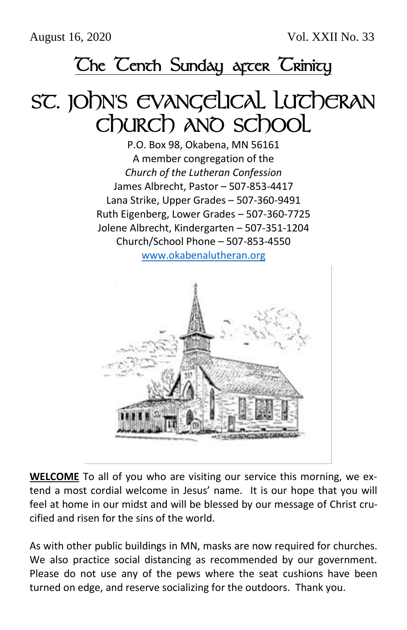## The Tenth Sunday arcer Trinity

## SC. JOhn's EVANGELICAL LUTCHERAN Church and school

P.O. Box 98, Okabena, MN 56161 A member congregation of the *Church of the Lutheran Confession* James Albrecht, Pastor – 507-853-4417 Lana Strike, Upper Grades – 507-360-9491 Ruth Eigenberg, Lower Grades – 507-360-7725 Jolene Albrecht, Kindergarten – 507-351-1204 Church/School Phone – 507-853-4550 [www.okabenalutheran.org](http://www.okabenalutheran.org/)



**WELCOME** To all of you who are visiting our service this morning, we extend a most cordial welcome in Jesus' name. It is our hope that you will feel at home in our midst and will be blessed by our message of Christ crucified and risen for the sins of the world.

As with other public buildings in MN, masks are now required for churches. We also practice social distancing as recommended by our government. Please do not use any of the pews where the seat cushions have been turned on edge, and reserve socializing for the outdoors. Thank you.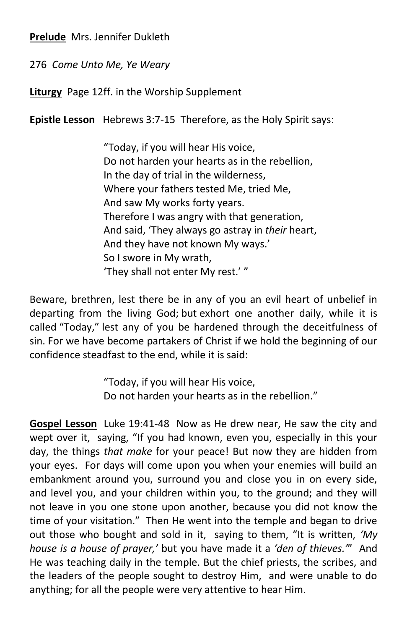**Prelude** Mrs. Jennifer Dukleth

276 *Come Unto Me, Ye Weary*

**Liturgy** Page 12ff. in the Worship Supplement

**Epistle Lesson** Hebrews 3:7-15 Therefore, as the Holy Spirit says:

"Today, if you will hear His voice, Do not harden your hearts as in the rebellion, In the day of trial in the wilderness, Where your fathers tested Me, tried Me, And saw My works forty years. Therefore I was angry with that generation, And said, 'They always go astray in *their* heart, And they have not known My ways.' So I swore in My wrath, 'They shall not enter My rest.' "

Beware, brethren, lest there be in any of you an evil heart of unbelief in departing from the living God; but exhort one another daily, while it is called "Today," lest any of you be hardened through the deceitfulness of sin. For we have become partakers of Christ if we hold the beginning of our confidence steadfast to the end, while it is said:

> "Today, if you will hear His voice, Do not harden your hearts as in the rebellion."

**Gospel Lesson** Luke 19:41-48 Now as He drew near, He saw the city and wept over it, saying, "If you had known, even you, especially in this your day, the things *that make* for your peace! But now they are hidden from your eyes. For days will come upon you when your enemies will build an embankment around you, surround you and close you in on every side, and level you, and your children within you, to the ground; and they will not leave in you one stone upon another, because you did not know the time of your visitation." Then He went into the temple and began to drive out those who bought and sold in it, saying to them, "It is written, *'My house is a house of prayer,'* but you have made it a *'den of thieves.'*" And He was teaching daily in the temple. But the chief priests, the scribes, and the leaders of the people sought to destroy Him, and were unable to do anything; for all the people were very attentive to hear Him.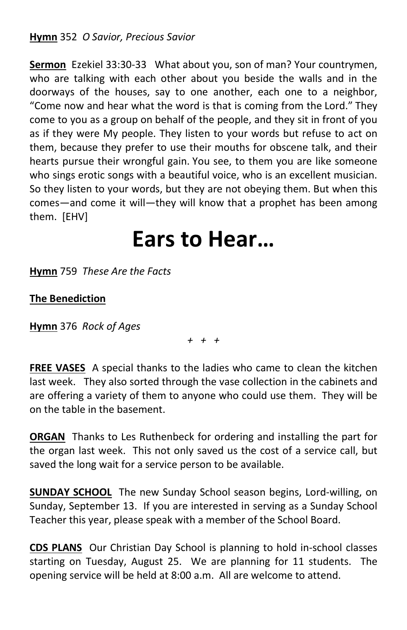**Sermon** Ezekiel 33:30-33 What about you, son of man? Your countrymen, who are talking with each other about you beside the walls and in the doorways of the houses, say to one another, each one to a neighbor, "Come now and hear what the word is that is coming from the Lord." They come to you as a group on behalf of the people, and they sit in front of you as if they were My people. They listen to your words but refuse to act on them, because they prefer to use their mouths for obscene talk, and their hearts pursue their wrongful gain. You see, to them you are like someone who sings erotic songs with a beautiful voice, who is an excellent musician. So they listen to your words, but they are not obeying them. But when this comes—and come it will—they will know that a prophet has been among them. [EHV]

## **Ears to Hear…**

**Hymn** 759 *These Are the Facts*

## **The Benediction**

**Hymn** 376 *Rock of Ages*

*+ + +*

**FREE VASES** A special thanks to the ladies who came to clean the kitchen last week. They also sorted through the vase collection in the cabinets and are offering a variety of them to anyone who could use them. They will be on the table in the basement.

**ORGAN** Thanks to Les Ruthenbeck for ordering and installing the part for the organ last week. This not only saved us the cost of a service call, but saved the long wait for a service person to be available.

**SUNDAY SCHOOL** The new Sunday School season begins, Lord-willing, on Sunday, September 13. If you are interested in serving as a Sunday School Teacher this year, please speak with a member of the School Board.

**CDS PLANS** Our Christian Day School is planning to hold in-school classes starting on Tuesday, August 25. We are planning for 11 students. The opening service will be held at 8:00 a.m. All are welcome to attend.